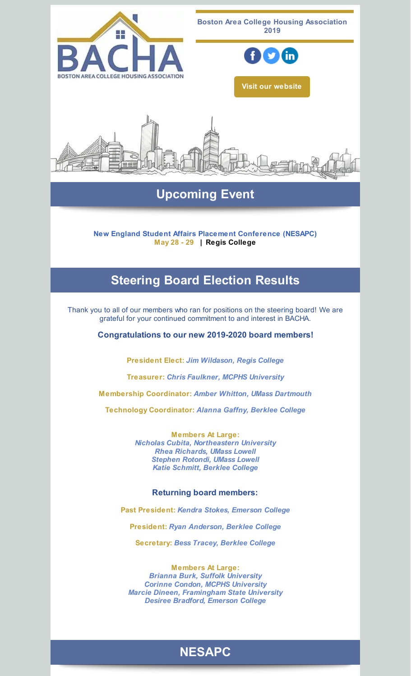

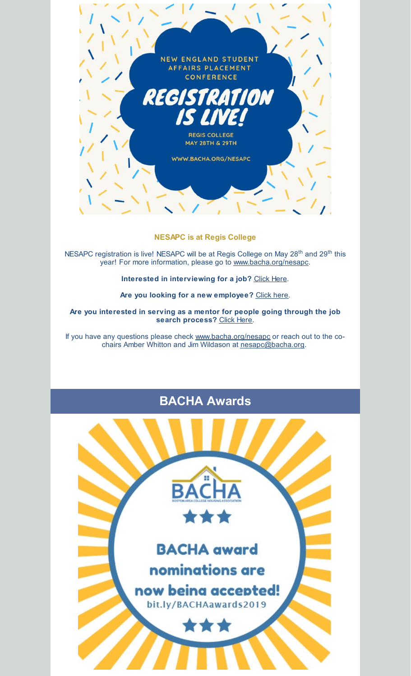

**NESAPC is at Regis College**

NESAPC registration is live! NESAPC will be at Regis College on May 28<sup>th</sup> and 29<sup>th</sup> this year! For more information, please go to [www.bacha.org/nesapc](http://www.bacha.org/nesapc).

**Interested in interviewing for a job?** [Click](http://events.constantcontact.com/register/event?llr=vserd4zab&oeidk=a07eg7y5j9tcbf09ca1) Here.

**Are you looking for a new employee?** [Click](http://events.constantcontact.com/register/event?llr=vserd4zab&oeidk=a07eg7y5j5q515f5b4e) here.

**Are you interested in serving as a mentor for people going through the job search process?** [Click](https://docs.google.com/forms/d/e/1FAIpQLScI3GkgblVZr5TTs1-_T779gfjeariJ5-jcD-OEaoblD6GQFw/viewform) Here.

If you have any questions please check [www.bacha.org/nesapc](http://www.bacha.org/nesapc) or reach out to the cochairs Amber Whitton and Jim Wildason at [nesapc@bacha.org](mailto:nesapc@bacha.org).

# **BACHA Awards**

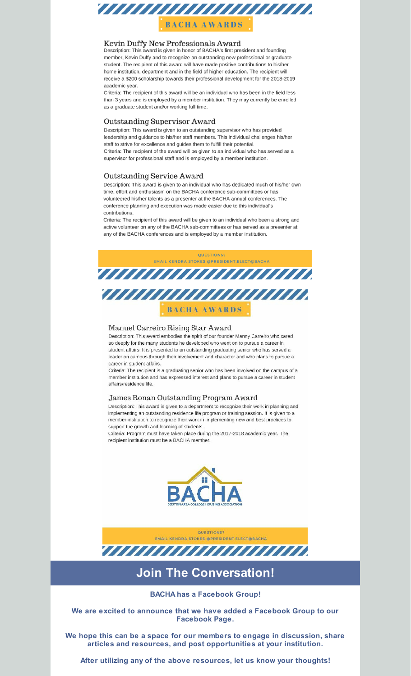

## Kevin Duffy New Professionals Award

Description: This award is given in honor of BACHA's first president and founding member, Kevin Duffy and to recognize an outstanding new professional or graduate student. The recipient of this award will have made positive contributions to his/her home institution, department and in the field of higher education. The recipient will receive a \$200 scholarship towards their professional development for the 2018-2019 academic year.

Criteria: The recipient of this award will be an individual who has been in the field less than 3 years and is employed by a member institution. They may currently be enrolled as a graduate student and/or working full time.

### Outstanding Supervisor Award

Description: This award is given to an outstanding supervisor who has provided leadership and guidance to his/her staff members. This individual challenges his/her staff to strive for excellence and guides them to fulfill their potential. Criteria: The recipient of the award will be given to an individual who has served as a supervisor for professional staff and is employed by a member institution.

### Outstanding Service Award

Description: This award is given to an individual who has dedicated much of his/her own time, effort and enthusiasm on the BACHA conference sub-committees or has volunteered his/her talents as a presenter at the BACHA annual conferences. The conference planning and execution was made easier due to this individual's contributions.

Criteria: The recipient of this award will be given to an individual who been a strong and active volunteer on any of the BACHA sub-committees or has served as a presenter at any of the BACHA conferences and is employed by a member institution.



#### Manuel Carreiro Rising Star Award

Description: This award embodies the spirit of our founder Manny Carreiro who cared so deeply for the many students he developed who went on to pursue a career in student affairs. It is presented to an outstanding graduating senior who has served a leader on campus through their involvement and character and who plans to pursue a career in student affairs.

Criteria: The recipient is a graduating senior who has been involved on the campus of a member institution and has expressed interest and plans to pursue a career in student affairs/residence life.

#### James Ronan Outstanding Program Award

Description: This award is given to a department to recognize their work in planning and implementing an outstanding residence life program or training session. It is given to a member institution to recognize their work in implementing new and best practices to support the growth and learning of students.

Criteria: Program must have taken place during the 2017-2018 academic year. The recipient institution must be a BACHA member.





# **Join The Conversation!**

**BACHA has a Facebook Group!**

**We are excited to announce that we have added a Facebook Group to our Facebook Page.**

**We hope this can be a space for our members to engage in discussion, share articles and resources, and post opportunities at your institution.**

**After utilizing any of the above resources, let us know your thoughts!**